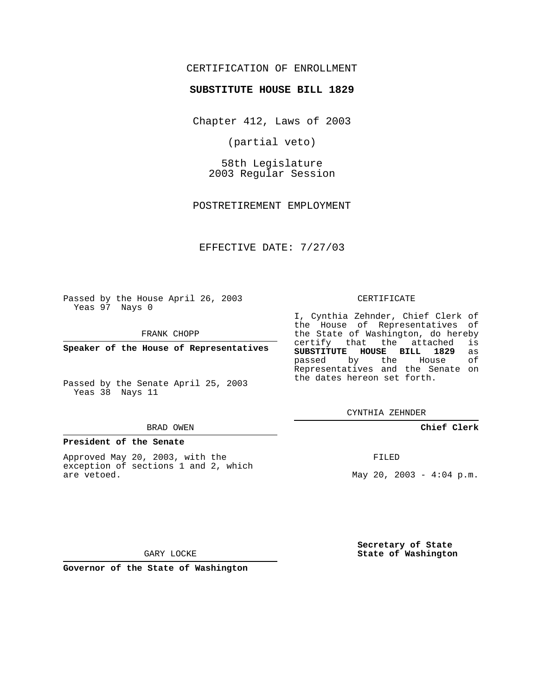# CERTIFICATION OF ENROLLMENT

## **SUBSTITUTE HOUSE BILL 1829**

Chapter 412, Laws of 2003

(partial veto)

58th Legislature 2003 Regular Session

POSTRETIREMENT EMPLOYMENT

EFFECTIVE DATE: 7/27/03

Passed by the House April 26, 2003 Yeas 97 Nays 0

FRANK CHOPP

**Speaker of the House of Representatives**

Passed by the Senate April 25, 2003 Yeas 38 Nays 11

## BRAD OWEN

#### **President of the Senate**

Approved May 20, 2003, with the exception of sections 1 and 2, which are vetoed.

#### CERTIFICATE

I, Cynthia Zehnder, Chief Clerk of the House of Representatives of the State of Washington, do hereby<br>certify that the attached is certify that the attached **SUBSTITUTE HOUSE BILL 1829** as passed by the House of Representatives and the Senate on the dates hereon set forth.

CYNTHIA ZEHNDER

## **Chief Clerk**

FILED

May 20, 2003 -  $4:04$  p.m.

**Secretary of State State of Washington**

GARY LOCKE

**Governor of the State of Washington**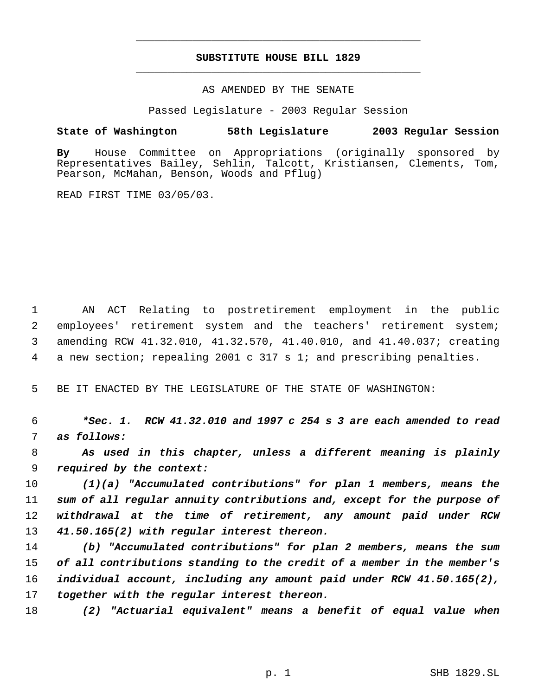# **SUBSTITUTE HOUSE BILL 1829** \_\_\_\_\_\_\_\_\_\_\_\_\_\_\_\_\_\_\_\_\_\_\_\_\_\_\_\_\_\_\_\_\_\_\_\_\_\_\_\_\_\_\_\_\_

\_\_\_\_\_\_\_\_\_\_\_\_\_\_\_\_\_\_\_\_\_\_\_\_\_\_\_\_\_\_\_\_\_\_\_\_\_\_\_\_\_\_\_\_\_

## AS AMENDED BY THE SENATE

Passed Legislature - 2003 Regular Session

# **State of Washington 58th Legislature 2003 Regular Session**

**By** House Committee on Appropriations (originally sponsored by Representatives Bailey, Sehlin, Talcott, Kristiansen, Clements, Tom, Pearson, McMahan, Benson, Woods and Pflug)

READ FIRST TIME 03/05/03.

 AN ACT Relating to postretirement employment in the public employees' retirement system and the teachers' retirement system; amending RCW 41.32.010, 41.32.570, 41.40.010, and 41.40.037; creating a new section; repealing 2001 c 317 s 1; and prescribing penalties.

BE IT ENACTED BY THE LEGISLATURE OF THE STATE OF WASHINGTON:

 *\*Sec. 1. RCW 41.32.010 and 1997 c 254 s 3 are each amended to read as follows:*

 *As used in this chapter, unless a different meaning is plainly required by the context:*

 *(1)(a) "Accumulated contributions" for plan 1 members, means the sum of all regular annuity contributions and, except for the purpose of withdrawal at the time of retirement, any amount paid under RCW 41.50.165(2) with regular interest thereon.*

 *(b) "Accumulated contributions" for plan 2 members, means the sum of all contributions standing to the credit of a member in the member's individual account, including any amount paid under RCW 41.50.165(2), together with the regular interest thereon.*

*(2) "Actuarial equivalent" means a benefit of equal value when*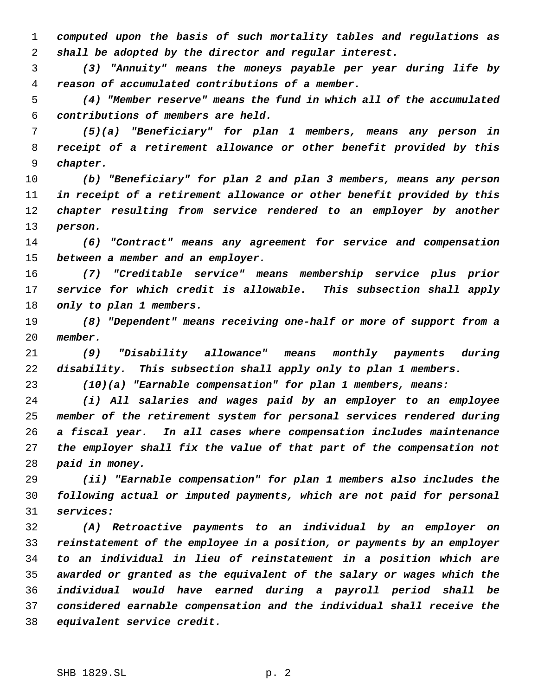*computed upon the basis of such mortality tables and regulations as shall be adopted by the director and regular interest.*

 *(3) "Annuity" means the moneys payable per year during life by reason of accumulated contributions of a member.*

 *(4) "Member reserve" means the fund in which all of the accumulated contributions of members are held.*

 *(5)(a) "Beneficiary" for plan 1 members, means any person in receipt of a retirement allowance or other benefit provided by this chapter.*

 *(b) "Beneficiary" for plan 2 and plan 3 members, means any person in receipt of a retirement allowance or other benefit provided by this chapter resulting from service rendered to an employer by another person.*

 *(6) "Contract" means any agreement for service and compensation between a member and an employer.*

 *(7) "Creditable service" means membership service plus prior service for which credit is allowable. This subsection shall apply only to plan 1 members.*

 *(8) "Dependent" means receiving one-half or more of support from a member.*

 *(9) "Disability allowance" means monthly payments during disability. This subsection shall apply only to plan 1 members.*

*(10)(a) "Earnable compensation" for plan 1 members, means:*

 *(i) All salaries and wages paid by an employer to an employee member of the retirement system for personal services rendered during a fiscal year. In all cases where compensation includes maintenance the employer shall fix the value of that part of the compensation not paid in money.*

 *(ii) "Earnable compensation" for plan 1 members also includes the following actual or imputed payments, which are not paid for personal services:*

 *(A) Retroactive payments to an individual by an employer on reinstatement of the employee in a position, or payments by an employer to an individual in lieu of reinstatement in a position which are awarded or granted as the equivalent of the salary or wages which the individual would have earned during a payroll period shall be considered earnable compensation and the individual shall receive the equivalent service credit.*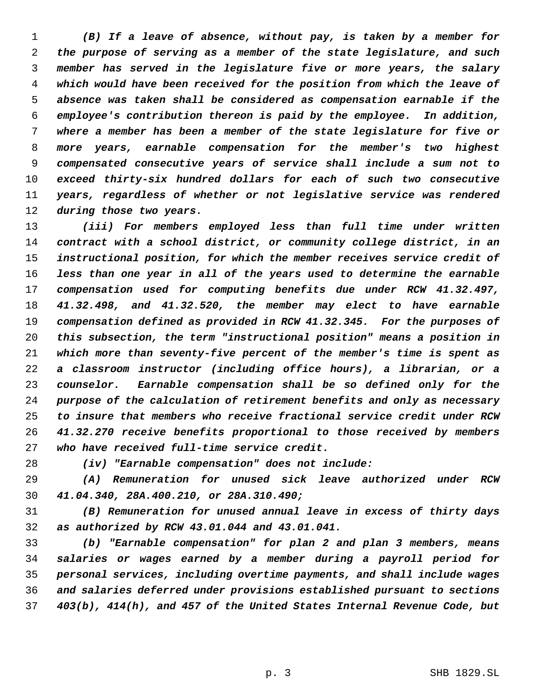*(B) If a leave of absence, without pay, is taken by a member for the purpose of serving as a member of the state legislature, and such member has served in the legislature five or more years, the salary which would have been received for the position from which the leave of absence was taken shall be considered as compensation earnable if the employee's contribution thereon is paid by the employee. In addition, where a member has been a member of the state legislature for five or more years, earnable compensation for the member's two highest compensated consecutive years of service shall include a sum not to exceed thirty-six hundred dollars for each of such two consecutive years, regardless of whether or not legislative service was rendered during those two years.*

 *(iii) For members employed less than full time under written contract with a school district, or community college district, in an instructional position, for which the member receives service credit of less than one year in all of the years used to determine the earnable compensation used for computing benefits due under RCW 41.32.497, 41.32.498, and 41.32.520, the member may elect to have earnable compensation defined as provided in RCW 41.32.345. For the purposes of this subsection, the term "instructional position" means a position in which more than seventy-five percent of the member's time is spent as a classroom instructor (including office hours), a librarian, or a counselor. Earnable compensation shall be so defined only for the purpose of the calculation of retirement benefits and only as necessary to insure that members who receive fractional service credit under RCW 41.32.270 receive benefits proportional to those received by members who have received full-time service credit.*

*(iv) "Earnable compensation" does not include:*

 *(A) Remuneration for unused sick leave authorized under RCW 41.04.340, 28A.400.210, or 28A.310.490;*

 *(B) Remuneration for unused annual leave in excess of thirty days as authorized by RCW 43.01.044 and 43.01.041.*

 *(b) "Earnable compensation" for plan 2 and plan 3 members, means salaries or wages earned by a member during a payroll period for personal services, including overtime payments, and shall include wages and salaries deferred under provisions established pursuant to sections 403(b), 414(h), and 457 of the United States Internal Revenue Code, but*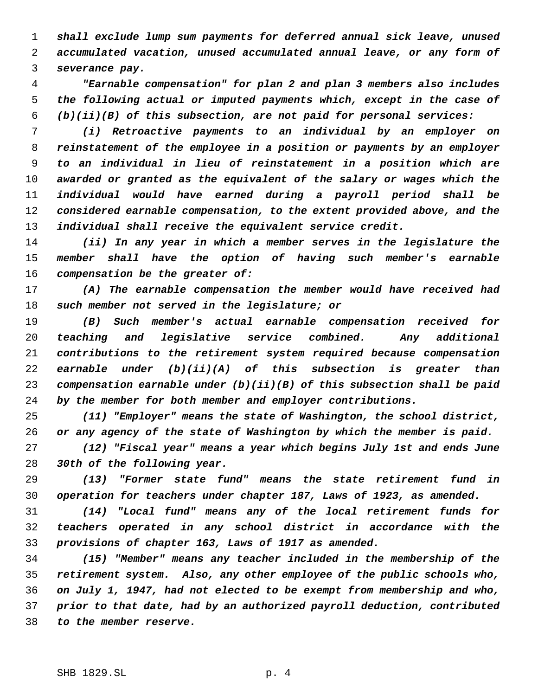*shall exclude lump sum payments for deferred annual sick leave, unused accumulated vacation, unused accumulated annual leave, or any form of severance pay.*

 *"Earnable compensation" for plan 2 and plan 3 members also includes the following actual or imputed payments which, except in the case of (b)(ii)(B) of this subsection, are not paid for personal services:*

 *(i) Retroactive payments to an individual by an employer on reinstatement of the employee in a position or payments by an employer to an individual in lieu of reinstatement in a position which are awarded or granted as the equivalent of the salary or wages which the individual would have earned during a payroll period shall be considered earnable compensation, to the extent provided above, and the individual shall receive the equivalent service credit.*

 *(ii) In any year in which a member serves in the legislature the member shall have the option of having such member's earnable compensation be the greater of:*

 *(A) The earnable compensation the member would have received had such member not served in the legislature; or*

 *(B) Such member's actual earnable compensation received for teaching and legislative service combined. Any additional contributions to the retirement system required because compensation earnable under (b)(ii)(A) of this subsection is greater than compensation earnable under (b)(ii)(B) of this subsection shall be paid by the member for both member and employer contributions.*

 *(11) "Employer" means the state of Washington, the school district, or any agency of the state of Washington by which the member is paid.*

 *(12) "Fiscal year" means a year which begins July 1st and ends June 30th of the following year.*

 *(13) "Former state fund" means the state retirement fund in operation for teachers under chapter 187, Laws of 1923, as amended.*

 *(14) "Local fund" means any of the local retirement funds for teachers operated in any school district in accordance with the provisions of chapter 163, Laws of 1917 as amended.*

 *(15) "Member" means any teacher included in the membership of the retirement system. Also, any other employee of the public schools who, on July 1, 1947, had not elected to be exempt from membership and who, prior to that date, had by an authorized payroll deduction, contributed to the member reserve.*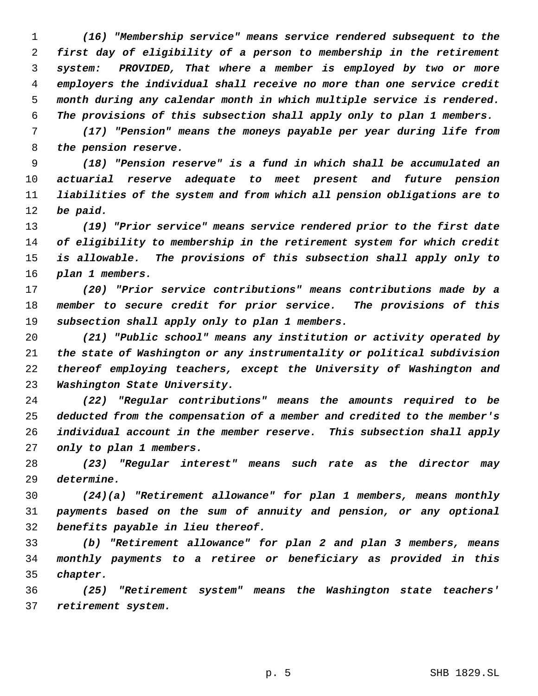*(16) "Membership service" means service rendered subsequent to the first day of eligibility of a person to membership in the retirement system: PROVIDED, That where a member is employed by two or more employers the individual shall receive no more than one service credit month during any calendar month in which multiple service is rendered. The provisions of this subsection shall apply only to plan 1 members.*

 *(17) "Pension" means the moneys payable per year during life from the pension reserve.*

 *(18) "Pension reserve" is a fund in which shall be accumulated an actuarial reserve adequate to meet present and future pension liabilities of the system and from which all pension obligations are to be paid.*

 *(19) "Prior service" means service rendered prior to the first date of eligibility to membership in the retirement system for which credit is allowable. The provisions of this subsection shall apply only to plan 1 members.*

 *(20) "Prior service contributions" means contributions made by a member to secure credit for prior service. The provisions of this subsection shall apply only to plan 1 members.*

 *(21) "Public school" means any institution or activity operated by the state of Washington or any instrumentality or political subdivision thereof employing teachers, except the University of Washington and Washington State University.*

 *(22) "Regular contributions" means the amounts required to be deducted from the compensation of a member and credited to the member's individual account in the member reserve. This subsection shall apply only to plan 1 members.*

 *(23) "Regular interest" means such rate as the director may determine.*

 *(24)(a) "Retirement allowance" for plan 1 members, means monthly payments based on the sum of annuity and pension, or any optional benefits payable in lieu thereof.*

 *(b) "Retirement allowance" for plan 2 and plan 3 members, means monthly payments to a retiree or beneficiary as provided in this chapter.*

 *(25) "Retirement system" means the Washington state teachers' retirement system.*

p. 5 SHB 1829.SL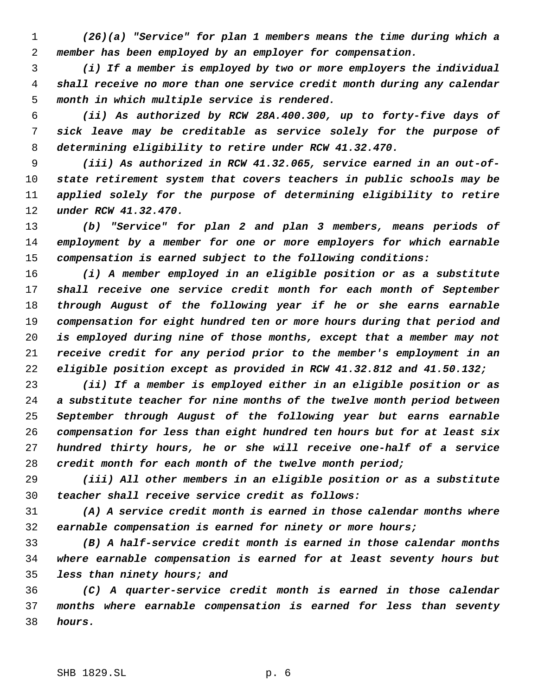*(26)(a) "Service" for plan 1 members means the time during which a member has been employed by an employer for compensation.*

 *(i) If a member is employed by two or more employers the individual shall receive no more than one service credit month during any calendar month in which multiple service is rendered.*

 *(ii) As authorized by RCW 28A.400.300, up to forty-five days of sick leave may be creditable as service solely for the purpose of determining eligibility to retire under RCW 41.32.470.*

 *(iii) As authorized in RCW 41.32.065, service earned in an out-of- state retirement system that covers teachers in public schools may be applied solely for the purpose of determining eligibility to retire under RCW 41.32.470.*

 *(b) "Service" for plan 2 and plan 3 members, means periods of employment by a member for one or more employers for which earnable compensation is earned subject to the following conditions:*

 *(i) A member employed in an eligible position or as a substitute shall receive one service credit month for each month of September through August of the following year if he or she earns earnable compensation for eight hundred ten or more hours during that period and is employed during nine of those months, except that a member may not receive credit for any period prior to the member's employment in an eligible position except as provided in RCW 41.32.812 and 41.50.132;*

 *(ii) If a member is employed either in an eligible position or as a substitute teacher for nine months of the twelve month period between September through August of the following year but earns earnable compensation for less than eight hundred ten hours but for at least six hundred thirty hours, he or she will receive one-half of a service credit month for each month of the twelve month period;*

 *(iii) All other members in an eligible position or as a substitute teacher shall receive service credit as follows:*

 *(A) A service credit month is earned in those calendar months where earnable compensation is earned for ninety or more hours;*

 *(B) A half-service credit month is earned in those calendar months where earnable compensation is earned for at least seventy hours but less than ninety hours; and*

 *(C) A quarter-service credit month is earned in those calendar months where earnable compensation is earned for less than seventy hours.*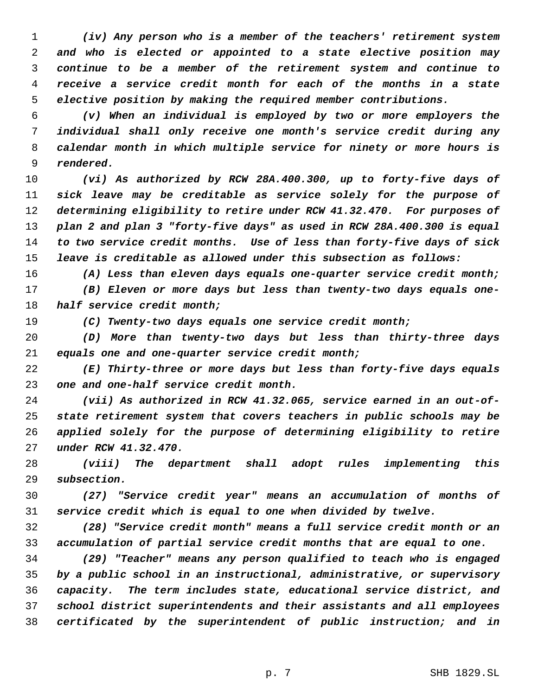*(iv) Any person who is a member of the teachers' retirement system and who is elected or appointed to a state elective position may continue to be a member of the retirement system and continue to receive a service credit month for each of the months in a state elective position by making the required member contributions.*

 *(v) When an individual is employed by two or more employers the individual shall only receive one month's service credit during any calendar month in which multiple service for ninety or more hours is rendered.*

 *(vi) As authorized by RCW 28A.400.300, up to forty-five days of sick leave may be creditable as service solely for the purpose of determining eligibility to retire under RCW 41.32.470. For purposes of plan 2 and plan 3 "forty-five days" as used in RCW 28A.400.300 is equal to two service credit months. Use of less than forty-five days of sick leave is creditable as allowed under this subsection as follows:*

*(A) Less than eleven days equals one-quarter service credit month;*

 *(B) Eleven or more days but less than twenty-two days equals one-half service credit month;*

*(C) Twenty-two days equals one service credit month;*

 *(D) More than twenty-two days but less than thirty-three days equals one and one-quarter service credit month;*

 *(E) Thirty-three or more days but less than forty-five days equals one and one-half service credit month.*

 *(vii) As authorized in RCW 41.32.065, service earned in an out-of- state retirement system that covers teachers in public schools may be applied solely for the purpose of determining eligibility to retire under RCW 41.32.470.*

 *(viii) The department shall adopt rules implementing this subsection.*

 *(27) "Service credit year" means an accumulation of months of service credit which is equal to one when divided by twelve.*

 *(28) "Service credit month" means a full service credit month or an accumulation of partial service credit months that are equal to one.*

 *(29) "Teacher" means any person qualified to teach who is engaged by a public school in an instructional, administrative, or supervisory capacity. The term includes state, educational service district, and school district superintendents and their assistants and all employees certificated by the superintendent of public instruction; and in*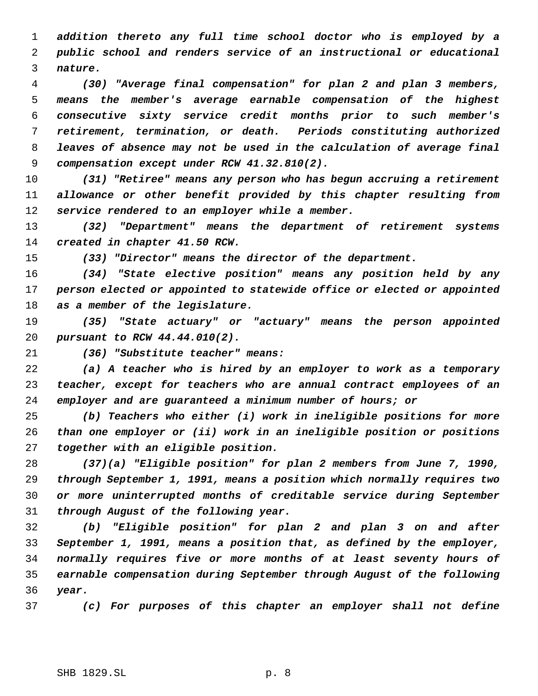*addition thereto any full time school doctor who is employed by a public school and renders service of an instructional or educational nature.*

 *(30) "Average final compensation" for plan 2 and plan 3 members, means the member's average earnable compensation of the highest consecutive sixty service credit months prior to such member's retirement, termination, or death. Periods constituting authorized leaves of absence may not be used in the calculation of average final compensation except under RCW 41.32.810(2).*

 *(31) "Retiree" means any person who has begun accruing a retirement allowance or other benefit provided by this chapter resulting from service rendered to an employer while a member.*

 *(32) "Department" means the department of retirement systems created in chapter 41.50 RCW.*

*(33) "Director" means the director of the department.*

 *(34) "State elective position" means any position held by any person elected or appointed to statewide office or elected or appointed as a member of the legislature.*

 *(35) "State actuary" or "actuary" means the person appointed pursuant to RCW 44.44.010(2).*

*(36) "Substitute teacher" means:*

 *(a) A teacher who is hired by an employer to work as a temporary teacher, except for teachers who are annual contract employees of an employer and are guaranteed a minimum number of hours; or*

 *(b) Teachers who either (i) work in ineligible positions for more than one employer or (ii) work in an ineligible position or positions together with an eligible position.*

 *(37)(a) "Eligible position" for plan 2 members from June 7, 1990, through September 1, 1991, means a position which normally requires two or more uninterrupted months of creditable service during September through August of the following year.*

 *(b) "Eligible position" for plan 2 and plan 3 on and after September 1, 1991, means a position that, as defined by the employer, normally requires five or more months of at least seventy hours of earnable compensation during September through August of the following year.*

*(c) For purposes of this chapter an employer shall not define*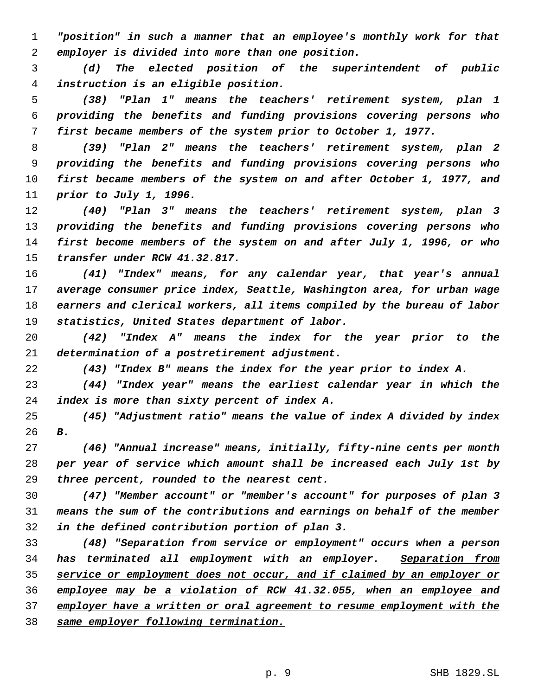*"position" in such a manner that an employee's monthly work for that employer is divided into more than one position.*

 *(d) The elected position of the superintendent of public instruction is an eligible position.*

 *(38) "Plan 1" means the teachers' retirement system, plan 1 providing the benefits and funding provisions covering persons who first became members of the system prior to October 1, 1977.*

 *(39) "Plan 2" means the teachers' retirement system, plan 2 providing the benefits and funding provisions covering persons who first became members of the system on and after October 1, 1977, and prior to July 1, 1996.*

 *(40) "Plan 3" means the teachers' retirement system, plan 3 providing the benefits and funding provisions covering persons who first become members of the system on and after July 1, 1996, or who transfer under RCW 41.32.817.*

 *(41) "Index" means, for any calendar year, that year's annual average consumer price index, Seattle, Washington area, for urban wage earners and clerical workers, all items compiled by the bureau of labor statistics, United States department of labor.*

 *(42) "Index A" means the index for the year prior to the determination of a postretirement adjustment.*

*(43) "Index B" means the index for the year prior to index A.*

 *(44) "Index year" means the earliest calendar year in which the index is more than sixty percent of index A.*

 *(45) "Adjustment ratio" means the value of index A divided by index B.*

 *(46) "Annual increase" means, initially, fifty-nine cents per month per year of service which amount shall be increased each July 1st by three percent, rounded to the nearest cent.*

 *(47) "Member account" or "member's account" for purposes of plan 3 means the sum of the contributions and earnings on behalf of the member in the defined contribution portion of plan 3.*

 *(48) "Separation from service or employment" occurs when a person has terminated all employment with an employer. Separation from service or employment does not occur, and if claimed by an employer or employee may be a violation of RCW 41.32.055, when an employee and employer have a written or oral agreement to resume employment with the same employer following termination.*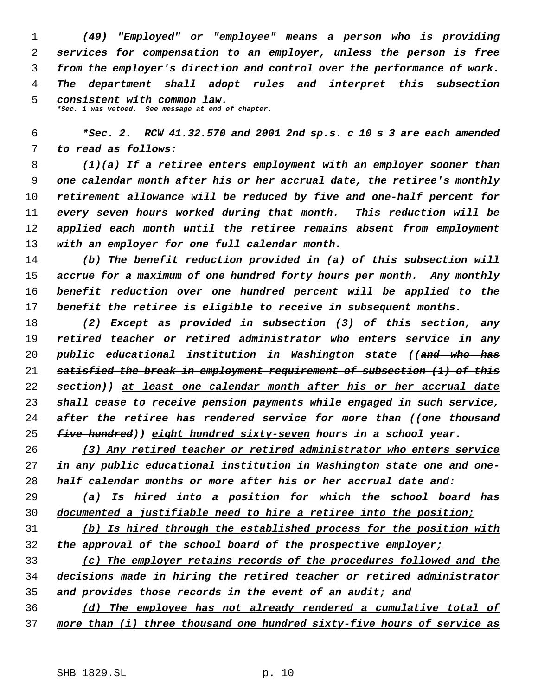*(49) "Employed" or "employee" means a person who is providing services for compensation to an employer, unless the person is free from the employer's direction and control over the performance of work. The department shall adopt rules and interpret this subsection consistent with common law. \*Sec. 1 was vetoed. See message at end of chapter.*

 *\*Sec. 2. RCW 41.32.570 and 2001 2nd sp.s. c 10 s 3 are each amended to read as follows:*

 *(1)(a) If a retiree enters employment with an employer sooner than one calendar month after his or her accrual date, the retiree's monthly retirement allowance will be reduced by five and one-half percent for every seven hours worked during that month. This reduction will be applied each month until the retiree remains absent from employment with an employer for one full calendar month.*

 *(b) The benefit reduction provided in (a) of this subsection will accrue for a maximum of one hundred forty hours per month. Any monthly benefit reduction over one hundred percent will be applied to the benefit the retiree is eligible to receive in subsequent months.*

 *(2) Except as provided in subsection (3) of this section, any retired teacher or retired administrator who enters service in any public educational institution in Washington state ((and who has satisfied the break in employment requirement of subsection (1) of this section)) at least one calendar month after his or her accrual date shall cease to receive pension payments while engaged in such service, after the retiree has rendered service for more than ((one thousand five hundred)) eight hundred sixty-seven hours in a school year.*

 *(3) Any retired teacher or retired administrator who enters service in any public educational institution in Washington state one and one-half calendar months or more after his or her accrual date and:*

 *(a) Is hired into a position for which the school board has documented a justifiable need to hire a retiree into the position;*

 *(b) Is hired through the established process for the position with the approval of the school board of the prospective employer;*

 *(c) The employer retains records of the procedures followed and the decisions made in hiring the retired teacher or retired administrator and provides those records in the event of an audit; and*

 *(d) The employee has not already rendered a cumulative total of more than (i) three thousand one hundred sixty-five hours of service as*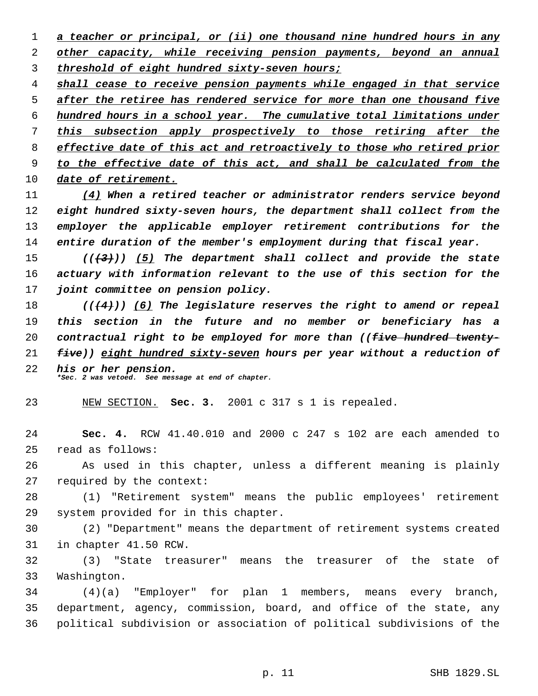*a teacher or principal, or (ii) one thousand nine hundred hours in any other capacity, while receiving pension payments, beyond an annual threshold of eight hundred sixty-seven hours;*

 *shall cease to receive pension payments while engaged in that service after the retiree has rendered service for more than one thousand five hundred hours in a school year. The cumulative total limitations under this subsection apply prospectively to those retiring after the effective date of this act and retroactively to those who retired prior to the effective date of this act, and shall be calculated from the*

*date of retirement.*

 *(4) When a retired teacher or administrator renders service beyond eight hundred sixty-seven hours, the department shall collect from the employer the applicable employer retirement contributions for the entire duration of the member's employment during that fiscal year.*

 *(((3))) (5) The department shall collect and provide the state actuary with information relevant to the use of this section for the joint committee on pension policy.*

 *(((4))) (6) The legislature reserves the right to amend or repeal this section in the future and no member or beneficiary has a contractual right to be employed for more than ((five hundred twenty- five)) eight hundred sixty-seven hours per year without a reduction of his or her pension. \*Sec. 2 was vetoed. See message at end of chapter.*

NEW SECTION. **Sec. 3.** 2001 c 317 s 1 is repealed.

 **Sec. 4.** RCW 41.40.010 and 2000 c 247 s 102 are each amended to read as follows:

 As used in this chapter, unless a different meaning is plainly required by the context:

 (1) "Retirement system" means the public employees' retirement system provided for in this chapter.

 (2) "Department" means the department of retirement systems created in chapter 41.50 RCW.

 (3) "State treasurer" means the treasurer of the state of Washington.

 (4)(a) "Employer" for plan 1 members, means every branch, department, agency, commission, board, and office of the state, any political subdivision or association of political subdivisions of the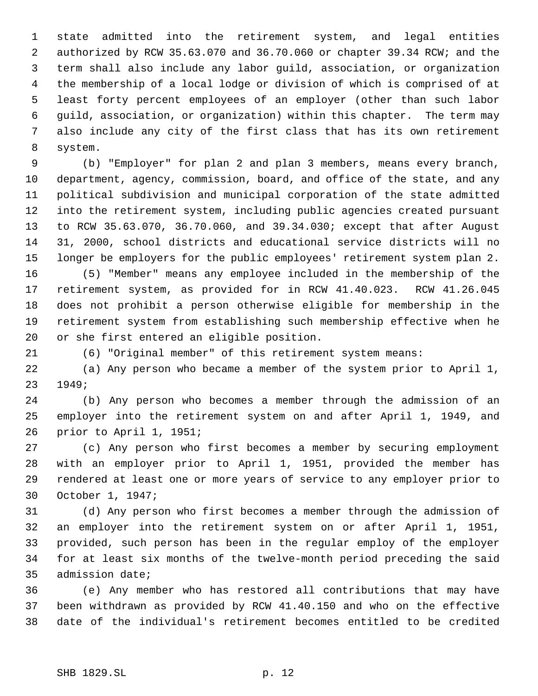state admitted into the retirement system, and legal entities authorized by RCW 35.63.070 and 36.70.060 or chapter 39.34 RCW; and the term shall also include any labor guild, association, or organization the membership of a local lodge or division of which is comprised of at least forty percent employees of an employer (other than such labor guild, association, or organization) within this chapter. The term may also include any city of the first class that has its own retirement system.

 (b) "Employer" for plan 2 and plan 3 members, means every branch, department, agency, commission, board, and office of the state, and any political subdivision and municipal corporation of the state admitted into the retirement system, including public agencies created pursuant to RCW 35.63.070, 36.70.060, and 39.34.030; except that after August 31, 2000, school districts and educational service districts will no longer be employers for the public employees' retirement system plan 2.

 (5) "Member" means any employee included in the membership of the retirement system, as provided for in RCW 41.40.023. RCW 41.26.045 does not prohibit a person otherwise eligible for membership in the retirement system from establishing such membership effective when he or she first entered an eligible position.

(6) "Original member" of this retirement system means:

 (a) Any person who became a member of the system prior to April 1, 1949;

 (b) Any person who becomes a member through the admission of an employer into the retirement system on and after April 1, 1949, and prior to April 1, 1951;

 (c) Any person who first becomes a member by securing employment with an employer prior to April 1, 1951, provided the member has rendered at least one or more years of service to any employer prior to October 1, 1947;

 (d) Any person who first becomes a member through the admission of an employer into the retirement system on or after April 1, 1951, provided, such person has been in the regular employ of the employer for at least six months of the twelve-month period preceding the said admission date;

 (e) Any member who has restored all contributions that may have been withdrawn as provided by RCW 41.40.150 and who on the effective date of the individual's retirement becomes entitled to be credited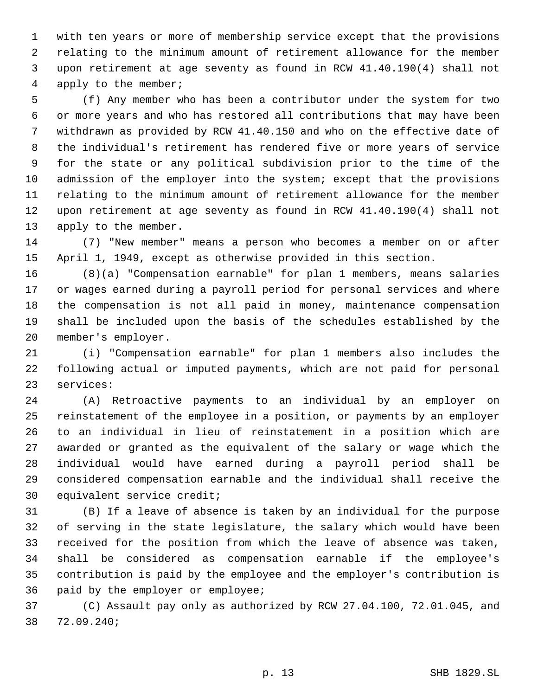with ten years or more of membership service except that the provisions relating to the minimum amount of retirement allowance for the member upon retirement at age seventy as found in RCW 41.40.190(4) shall not apply to the member;

 (f) Any member who has been a contributor under the system for two or more years and who has restored all contributions that may have been withdrawn as provided by RCW 41.40.150 and who on the effective date of the individual's retirement has rendered five or more years of service for the state or any political subdivision prior to the time of the admission of the employer into the system; except that the provisions relating to the minimum amount of retirement allowance for the member upon retirement at age seventy as found in RCW 41.40.190(4) shall not apply to the member.

 (7) "New member" means a person who becomes a member on or after April 1, 1949, except as otherwise provided in this section.

 (8)(a) "Compensation earnable" for plan 1 members, means salaries or wages earned during a payroll period for personal services and where the compensation is not all paid in money, maintenance compensation shall be included upon the basis of the schedules established by the member's employer.

 (i) "Compensation earnable" for plan 1 members also includes the following actual or imputed payments, which are not paid for personal services:

 (A) Retroactive payments to an individual by an employer on reinstatement of the employee in a position, or payments by an employer to an individual in lieu of reinstatement in a position which are awarded or granted as the equivalent of the salary or wage which the individual would have earned during a payroll period shall be considered compensation earnable and the individual shall receive the equivalent service credit;

 (B) If a leave of absence is taken by an individual for the purpose of serving in the state legislature, the salary which would have been received for the position from which the leave of absence was taken, shall be considered as compensation earnable if the employee's contribution is paid by the employee and the employer's contribution is paid by the employer or employee;

 (C) Assault pay only as authorized by RCW 27.04.100, 72.01.045, and 72.09.240;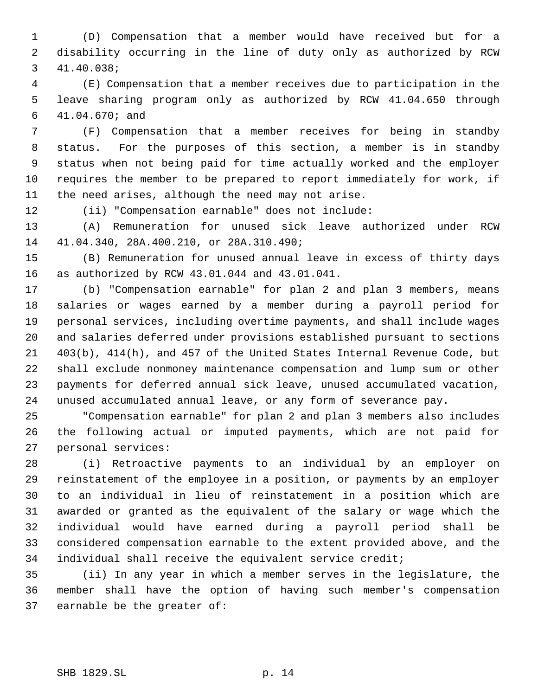(D) Compensation that a member would have received but for a disability occurring in the line of duty only as authorized by RCW 41.40.038;

 (E) Compensation that a member receives due to participation in the leave sharing program only as authorized by RCW 41.04.650 through 41.04.670; and

 (F) Compensation that a member receives for being in standby status. For the purposes of this section, a member is in standby status when not being paid for time actually worked and the employer requires the member to be prepared to report immediately for work, if the need arises, although the need may not arise.

(ii) "Compensation earnable" does not include:

 (A) Remuneration for unused sick leave authorized under RCW 41.04.340, 28A.400.210, or 28A.310.490;

 (B) Remuneration for unused annual leave in excess of thirty days as authorized by RCW 43.01.044 and 43.01.041.

 (b) "Compensation earnable" for plan 2 and plan 3 members, means salaries or wages earned by a member during a payroll period for personal services, including overtime payments, and shall include wages and salaries deferred under provisions established pursuant to sections 403(b), 414(h), and 457 of the United States Internal Revenue Code, but shall exclude nonmoney maintenance compensation and lump sum or other payments for deferred annual sick leave, unused accumulated vacation, unused accumulated annual leave, or any form of severance pay.

 "Compensation earnable" for plan 2 and plan 3 members also includes the following actual or imputed payments, which are not paid for personal services:

 (i) Retroactive payments to an individual by an employer on reinstatement of the employee in a position, or payments by an employer to an individual in lieu of reinstatement in a position which are awarded or granted as the equivalent of the salary or wage which the individual would have earned during a payroll period shall be considered compensation earnable to the extent provided above, and the individual shall receive the equivalent service credit;

 (ii) In any year in which a member serves in the legislature, the member shall have the option of having such member's compensation earnable be the greater of: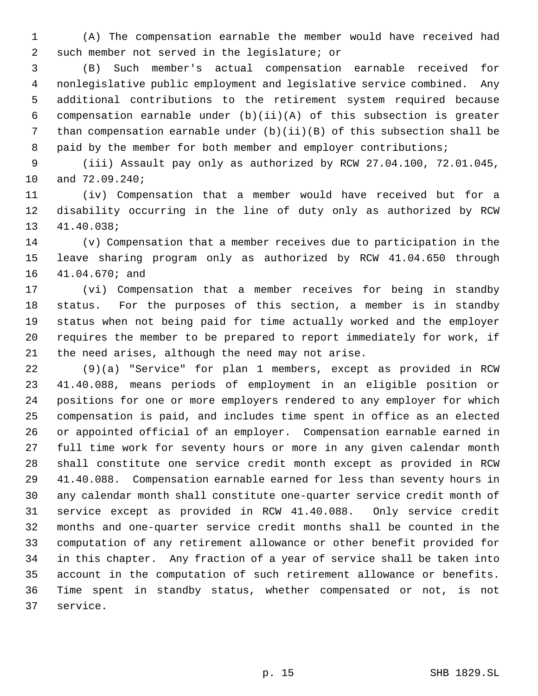(A) The compensation earnable the member would have received had such member not served in the legislature; or

 (B) Such member's actual compensation earnable received for nonlegislative public employment and legislative service combined. Any additional contributions to the retirement system required because compensation earnable under (b)(ii)(A) of this subsection is greater than compensation earnable under (b)(ii)(B) of this subsection shall be 8 paid by the member for both member and employer contributions;

 (iii) Assault pay only as authorized by RCW 27.04.100, 72.01.045, and 72.09.240;

 (iv) Compensation that a member would have received but for a disability occurring in the line of duty only as authorized by RCW 41.40.038;

 (v) Compensation that a member receives due to participation in the leave sharing program only as authorized by RCW 41.04.650 through 41.04.670; and

 (vi) Compensation that a member receives for being in standby status. For the purposes of this section, a member is in standby status when not being paid for time actually worked and the employer requires the member to be prepared to report immediately for work, if the need arises, although the need may not arise.

 (9)(a) "Service" for plan 1 members, except as provided in RCW 41.40.088, means periods of employment in an eligible position or positions for one or more employers rendered to any employer for which compensation is paid, and includes time spent in office as an elected or appointed official of an employer. Compensation earnable earned in full time work for seventy hours or more in any given calendar month shall constitute one service credit month except as provided in RCW 41.40.088. Compensation earnable earned for less than seventy hours in any calendar month shall constitute one-quarter service credit month of service except as provided in RCW 41.40.088. Only service credit months and one-quarter service credit months shall be counted in the computation of any retirement allowance or other benefit provided for in this chapter. Any fraction of a year of service shall be taken into account in the computation of such retirement allowance or benefits. Time spent in standby status, whether compensated or not, is not service.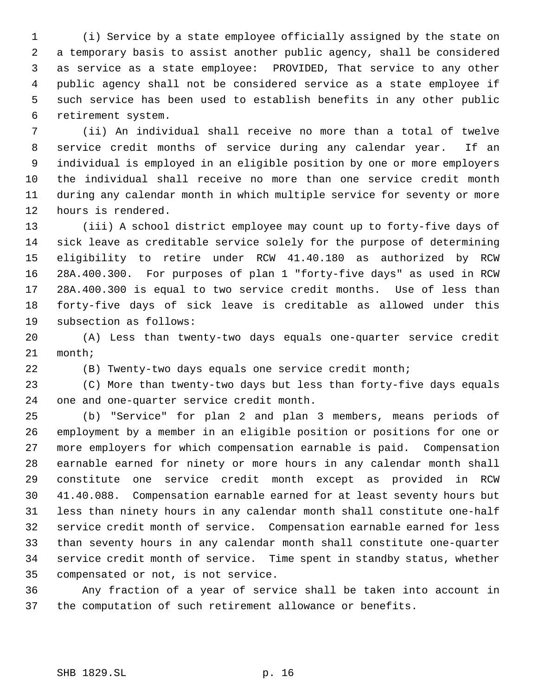(i) Service by a state employee officially assigned by the state on a temporary basis to assist another public agency, shall be considered as service as a state employee: PROVIDED, That service to any other public agency shall not be considered service as a state employee if such service has been used to establish benefits in any other public retirement system.

 (ii) An individual shall receive no more than a total of twelve service credit months of service during any calendar year. If an individual is employed in an eligible position by one or more employers the individual shall receive no more than one service credit month during any calendar month in which multiple service for seventy or more hours is rendered.

 (iii) A school district employee may count up to forty-five days of sick leave as creditable service solely for the purpose of determining eligibility to retire under RCW 41.40.180 as authorized by RCW 28A.400.300. For purposes of plan 1 "forty-five days" as used in RCW 28A.400.300 is equal to two service credit months. Use of less than forty-five days of sick leave is creditable as allowed under this subsection as follows:

 (A) Less than twenty-two days equals one-quarter service credit month;

(B) Twenty-two days equals one service credit month;

 (C) More than twenty-two days but less than forty-five days equals one and one-quarter service credit month.

 (b) "Service" for plan 2 and plan 3 members, means periods of employment by a member in an eligible position or positions for one or more employers for which compensation earnable is paid. Compensation earnable earned for ninety or more hours in any calendar month shall constitute one service credit month except as provided in RCW 41.40.088. Compensation earnable earned for at least seventy hours but less than ninety hours in any calendar month shall constitute one-half service credit month of service. Compensation earnable earned for less than seventy hours in any calendar month shall constitute one-quarter service credit month of service. Time spent in standby status, whether compensated or not, is not service.

 Any fraction of a year of service shall be taken into account in the computation of such retirement allowance or benefits.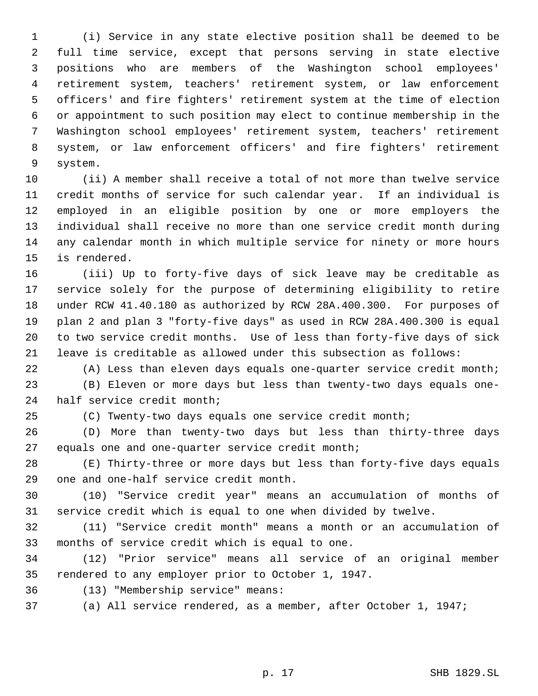(i) Service in any state elective position shall be deemed to be full time service, except that persons serving in state elective positions who are members of the Washington school employees' retirement system, teachers' retirement system, or law enforcement officers' and fire fighters' retirement system at the time of election or appointment to such position may elect to continue membership in the Washington school employees' retirement system, teachers' retirement system, or law enforcement officers' and fire fighters' retirement system.

 (ii) A member shall receive a total of not more than twelve service credit months of service for such calendar year. If an individual is employed in an eligible position by one or more employers the individual shall receive no more than one service credit month during any calendar month in which multiple service for ninety or more hours is rendered.

 (iii) Up to forty-five days of sick leave may be creditable as service solely for the purpose of determining eligibility to retire under RCW 41.40.180 as authorized by RCW 28A.400.300. For purposes of plan 2 and plan 3 "forty-five days" as used in RCW 28A.400.300 is equal to two service credit months. Use of less than forty-five days of sick leave is creditable as allowed under this subsection as follows:

 (A) Less than eleven days equals one-quarter service credit month; (B) Eleven or more days but less than twenty-two days equals one-half service credit month;

(C) Twenty-two days equals one service credit month;

 (D) More than twenty-two days but less than thirty-three days equals one and one-quarter service credit month;

 (E) Thirty-three or more days but less than forty-five days equals one and one-half service credit month.

 (10) "Service credit year" means an accumulation of months of service credit which is equal to one when divided by twelve.

 (11) "Service credit month" means a month or an accumulation of months of service credit which is equal to one.

 (12) "Prior service" means all service of an original member rendered to any employer prior to October 1, 1947.

(13) "Membership service" means:

(a) All service rendered, as a member, after October 1, 1947;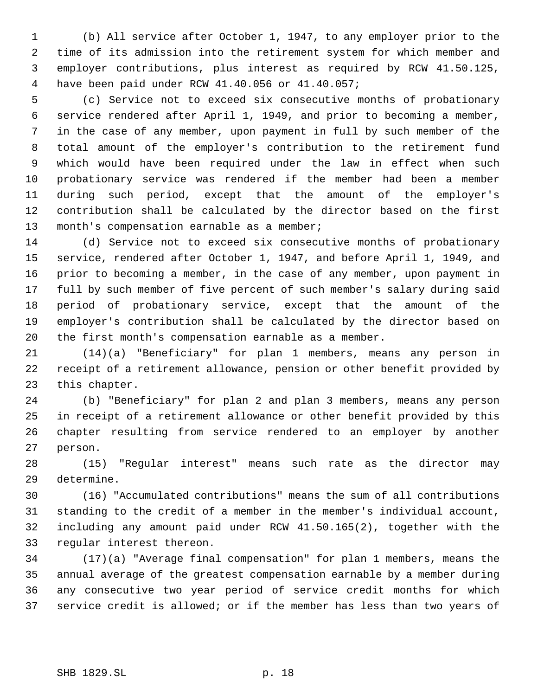(b) All service after October 1, 1947, to any employer prior to the time of its admission into the retirement system for which member and employer contributions, plus interest as required by RCW 41.50.125, have been paid under RCW 41.40.056 or 41.40.057;

 (c) Service not to exceed six consecutive months of probationary service rendered after April 1, 1949, and prior to becoming a member, in the case of any member, upon payment in full by such member of the total amount of the employer's contribution to the retirement fund which would have been required under the law in effect when such probationary service was rendered if the member had been a member during such period, except that the amount of the employer's contribution shall be calculated by the director based on the first 13 month's compensation earnable as a member;

 (d) Service not to exceed six consecutive months of probationary service, rendered after October 1, 1947, and before April 1, 1949, and prior to becoming a member, in the case of any member, upon payment in full by such member of five percent of such member's salary during said period of probationary service, except that the amount of the employer's contribution shall be calculated by the director based on the first month's compensation earnable as a member.

 (14)(a) "Beneficiary" for plan 1 members, means any person in receipt of a retirement allowance, pension or other benefit provided by this chapter.

 (b) "Beneficiary" for plan 2 and plan 3 members, means any person in receipt of a retirement allowance or other benefit provided by this chapter resulting from service rendered to an employer by another person.

 (15) "Regular interest" means such rate as the director may determine.

 (16) "Accumulated contributions" means the sum of all contributions standing to the credit of a member in the member's individual account, including any amount paid under RCW 41.50.165(2), together with the regular interest thereon.

 (17)(a) "Average final compensation" for plan 1 members, means the annual average of the greatest compensation earnable by a member during any consecutive two year period of service credit months for which service credit is allowed; or if the member has less than two years of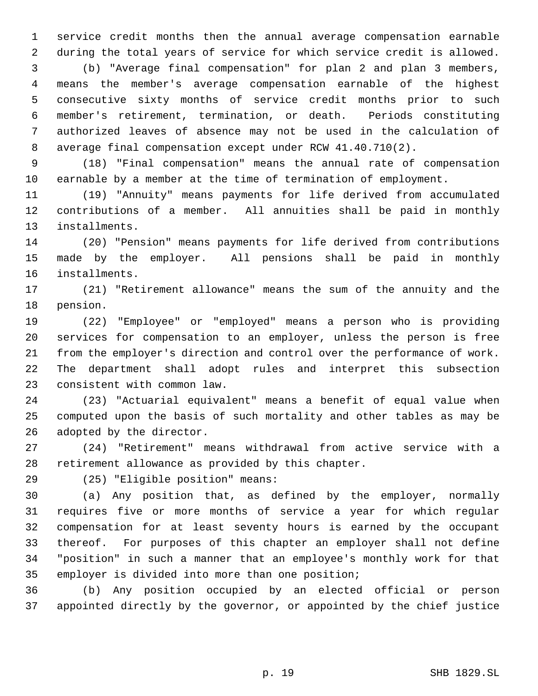service credit months then the annual average compensation earnable during the total years of service for which service credit is allowed.

 (b) "Average final compensation" for plan 2 and plan 3 members, means the member's average compensation earnable of the highest consecutive sixty months of service credit months prior to such member's retirement, termination, or death. Periods constituting authorized leaves of absence may not be used in the calculation of average final compensation except under RCW 41.40.710(2).

 (18) "Final compensation" means the annual rate of compensation earnable by a member at the time of termination of employment.

 (19) "Annuity" means payments for life derived from accumulated contributions of a member. All annuities shall be paid in monthly installments.

 (20) "Pension" means payments for life derived from contributions made by the employer. All pensions shall be paid in monthly installments.

 (21) "Retirement allowance" means the sum of the annuity and the pension.

 (22) "Employee" or "employed" means a person who is providing services for compensation to an employer, unless the person is free from the employer's direction and control over the performance of work. The department shall adopt rules and interpret this subsection consistent with common law.

 (23) "Actuarial equivalent" means a benefit of equal value when computed upon the basis of such mortality and other tables as may be adopted by the director.

 (24) "Retirement" means withdrawal from active service with a retirement allowance as provided by this chapter.

(25) "Eligible position" means:

 (a) Any position that, as defined by the employer, normally requires five or more months of service a year for which regular compensation for at least seventy hours is earned by the occupant thereof. For purposes of this chapter an employer shall not define "position" in such a manner that an employee's monthly work for that employer is divided into more than one position;

 (b) Any position occupied by an elected official or person appointed directly by the governor, or appointed by the chief justice

p. 19 SHB 1829.SL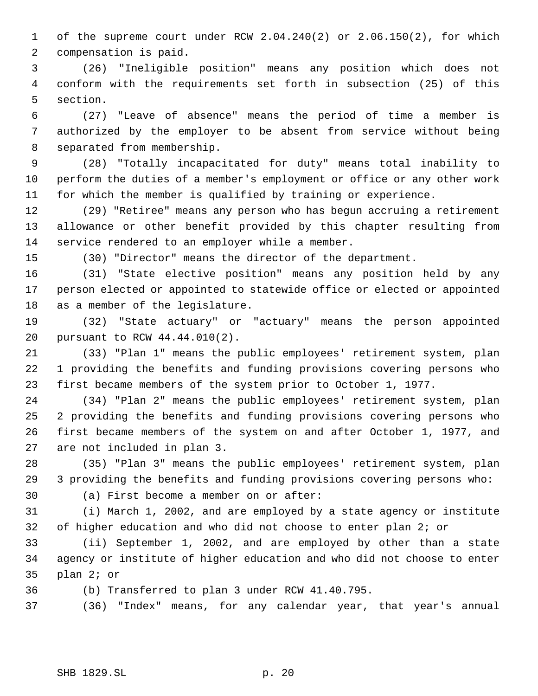of the supreme court under RCW 2.04.240(2) or 2.06.150(2), for which compensation is paid.

 (26) "Ineligible position" means any position which does not conform with the requirements set forth in subsection (25) of this section.

 (27) "Leave of absence" means the period of time a member is authorized by the employer to be absent from service without being separated from membership.

 (28) "Totally incapacitated for duty" means total inability to perform the duties of a member's employment or office or any other work for which the member is qualified by training or experience.

 (29) "Retiree" means any person who has begun accruing a retirement allowance or other benefit provided by this chapter resulting from service rendered to an employer while a member.

(30) "Director" means the director of the department.

 (31) "State elective position" means any position held by any person elected or appointed to statewide office or elected or appointed as a member of the legislature.

 (32) "State actuary" or "actuary" means the person appointed pursuant to RCW 44.44.010(2).

 (33) "Plan 1" means the public employees' retirement system, plan 1 providing the benefits and funding provisions covering persons who first became members of the system prior to October 1, 1977.

 (34) "Plan 2" means the public employees' retirement system, plan 2 providing the benefits and funding provisions covering persons who first became members of the system on and after October 1, 1977, and are not included in plan 3.

 (35) "Plan 3" means the public employees' retirement system, plan 3 providing the benefits and funding provisions covering persons who:

(a) First become a member on or after:

 (i) March 1, 2002, and are employed by a state agency or institute of higher education and who did not choose to enter plan 2; or

 (ii) September 1, 2002, and are employed by other than a state agency or institute of higher education and who did not choose to enter plan 2; or

(b) Transferred to plan 3 under RCW 41.40.795.

(36) "Index" means, for any calendar year, that year's annual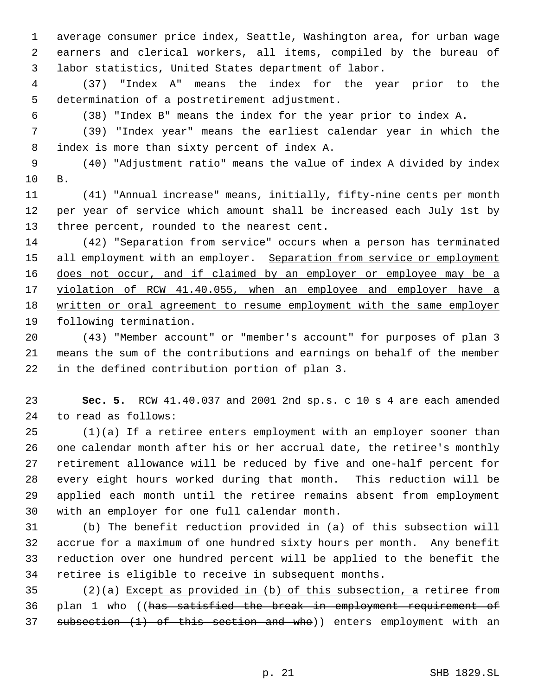average consumer price index, Seattle, Washington area, for urban wage earners and clerical workers, all items, compiled by the bureau of labor statistics, United States department of labor.

 (37) "Index A" means the index for the year prior to the determination of a postretirement adjustment.

(38) "Index B" means the index for the year prior to index A.

 (39) "Index year" means the earliest calendar year in which the index is more than sixty percent of index A.

 (40) "Adjustment ratio" means the value of index A divided by index B.

 (41) "Annual increase" means, initially, fifty-nine cents per month per year of service which amount shall be increased each July 1st by three percent, rounded to the nearest cent.

 (42) "Separation from service" occurs when a person has terminated 15 all employment with an employer. Separation from service or employment 16 does not occur, and if claimed by an employer or employee may be a 17 violation of RCW 41.40.055, when an employee and employer have a written or oral agreement to resume employment with the same employer following termination.

 (43) "Member account" or "member's account" for purposes of plan 3 means the sum of the contributions and earnings on behalf of the member in the defined contribution portion of plan 3.

 **Sec. 5.** RCW 41.40.037 and 2001 2nd sp.s. c 10 s 4 are each amended to read as follows:

 (1)(a) If a retiree enters employment with an employer sooner than one calendar month after his or her accrual date, the retiree's monthly retirement allowance will be reduced by five and one-half percent for every eight hours worked during that month. This reduction will be applied each month until the retiree remains absent from employment with an employer for one full calendar month.

 (b) The benefit reduction provided in (a) of this subsection will accrue for a maximum of one hundred sixty hours per month. Any benefit reduction over one hundred percent will be applied to the benefit the retiree is eligible to receive in subsequent months.

 (2)(a) Except as provided in (b) of this subsection, a retiree from plan 1 who ((has satisfied the break in employment requirement of 37 subsection (1) of this section and who)) enters employment with an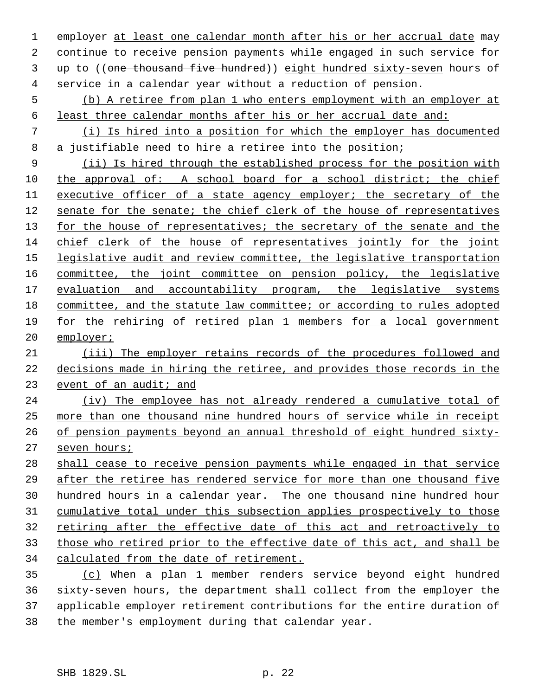1 employer at least one calendar month after his or her accrual date may continue to receive pension payments while engaged in such service for 3 up to ((one thousand five hundred)) eight hundred sixty-seven hours of service in a calendar year without a reduction of pension.

 (b) A retiree from plan 1 who enters employment with an employer at least three calendar months after his or her accrual date and:

 (i) Is hired into a position for which the employer has documented a justifiable need to hire a retiree into the position;

 (ii) Is hired through the established process for the position with the approval of: A school board for a school district; the chief executive officer of a state agency employer; the secretary of the senate for the senate; the chief clerk of the house of representatives 13 for the house of representatives; the secretary of the senate and the 14 chief clerk of the house of representatives jointly for the joint 15 legislative audit and review committee, the legislative transportation committee, the joint committee on pension policy, the legislative 17 evaluation and accountability program, the legislative systems committee, and the statute law committee; or according to rules adopted for the rehiring of retired plan 1 members for a local government employer;

 (iii) The employer retains records of the procedures followed and decisions made in hiring the retiree, and provides those records in the 23 event of an audit; and

 (iv) The employee has not already rendered a cumulative total of more than one thousand nine hundred hours of service while in receipt of pension payments beyond an annual threshold of eight hundred sixty-seven hours;

 shall cease to receive pension payments while engaged in that service after the retiree has rendered service for more than one thousand five hundred hours in a calendar year. The one thousand nine hundred hour cumulative total under this subsection applies prospectively to those 32 retiring after the effective date of this act and retroactively to those who retired prior to the effective date of this act, and shall be calculated from the date of retirement.

 (c) When a plan 1 member renders service beyond eight hundred sixty-seven hours, the department shall collect from the employer the applicable employer retirement contributions for the entire duration of the member's employment during that calendar year.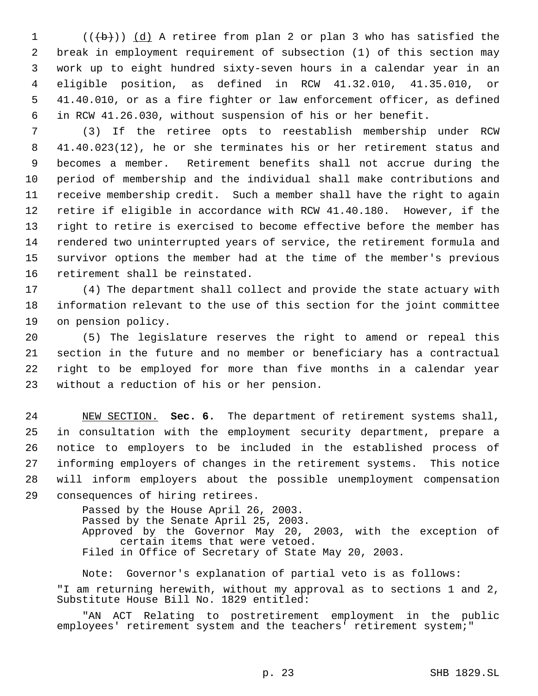$((\{b\}))$   $(d)$  A retiree from plan 2 or plan 3 who has satisfied the break in employment requirement of subsection (1) of this section may work up to eight hundred sixty-seven hours in a calendar year in an eligible position, as defined in RCW 41.32.010, 41.35.010, or 41.40.010, or as a fire fighter or law enforcement officer, as defined in RCW 41.26.030, without suspension of his or her benefit.

 (3) If the retiree opts to reestablish membership under RCW 41.40.023(12), he or she terminates his or her retirement status and becomes a member. Retirement benefits shall not accrue during the period of membership and the individual shall make contributions and receive membership credit. Such a member shall have the right to again retire if eligible in accordance with RCW 41.40.180. However, if the right to retire is exercised to become effective before the member has rendered two uninterrupted years of service, the retirement formula and survivor options the member had at the time of the member's previous retirement shall be reinstated.

 (4) The department shall collect and provide the state actuary with information relevant to the use of this section for the joint committee on pension policy.

 (5) The legislature reserves the right to amend or repeal this section in the future and no member or beneficiary has a contractual right to be employed for more than five months in a calendar year without a reduction of his or her pension.

 NEW SECTION. **Sec. 6.** The department of retirement systems shall, in consultation with the employment security department, prepare a notice to employers to be included in the established process of informing employers of changes in the retirement systems. This notice will inform employers about the possible unemployment compensation consequences of hiring retirees.

> Passed by the House April 26, 2003. Passed by the Senate April 25, 2003. Approved by the Governor May 20, 2003, with the exception of certain items that were vetoed. Filed in Office of Secretary of State May 20, 2003.

Note: Governor's explanation of partial veto is as follows: "I am returning herewith, without my approval as to sections 1 and 2, Substitute House Bill No. 1829 entitled:

"AN ACT Relating to postretirement employment in the public employees' retirement system and the teachers' retirement system;"